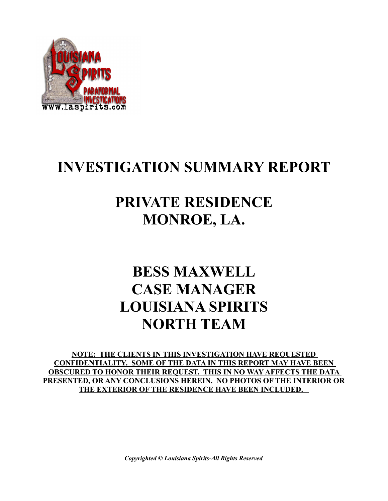

## **INVESTIGATION SUMMARY REPORT**

## **PRIVATE RESIDENCE MONROE, LA.**

## **BESS MAXWELL CASE MANAGER LOUISIANA SPIRITS NORTH TEAM**

**NOTE: THE CLIENTS IN THIS INVESTIGATION HAVE REQUESTED CONFIDENTIALITY. SOME OF THE DATA IN THIS REPORT MAY HAVE BEEN OBSCURED TO HONOR THEIR REQUEST. THIS IN NO WAY AFFECTS THE DATA PRESENTED, OR ANY CONCLUSIONS HEREIN. NO PHOTOS OF THE INTERIOR OR THE EXTERIOR OF THE RESIDENCE HAVE BEEN INCLUDED.** 

*Copyrighted © Louisiana Spirits-All Rights Reserved*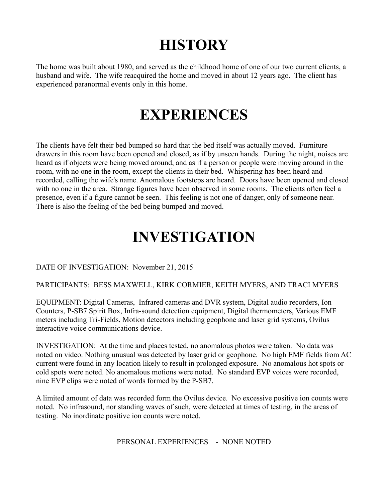# **HISTORY**

The home was built about 1980, and served as the childhood home of one of our two current clients, a husband and wife. The wife reacquired the home and moved in about 12 years ago. The client has experienced paranormal events only in this home.

## **EXPERIENCES**

The clients have felt their bed bumped so hard that the bed itself was actually moved. Furniture drawers in this room have been opened and closed, as if by unseen hands. During the night, noises are heard as if objects were being moved around, and as if a person or people were moving around in the room, with no one in the room, except the clients in their bed. Whispering has been heard and recorded, calling the wife's name. Anomalous footsteps are heard. Doors have been opened and closed with no one in the area. Strange figures have been observed in some rooms. The clients often feel a presence, even if a figure cannot be seen. This feeling is not one of danger, only of someone near. There is also the feeling of the bed being bumped and moved.

### **INVESTIGATION**

#### DATE OF INVESTIGATION: November 21, 2015

#### PARTICIPANTS: BESS MAXWELL, KIRK CORMIER, KEITH MYERS, AND TRACI MYERS

EQUIPMENT: Digital Cameras, Infrared cameras and DVR system, Digital audio recorders, Ion Counters, P-SB7 Spirit Box, Infra-sound detection equipment, Digital thermometers, Various EMF meters including Tri-Fields, Motion detectors including geophone and laser grid systems, Ovilus interactive voice communications device.

INVESTIGATION: At the time and places tested, no anomalous photos were taken. No data was noted on video. Nothing unusual was detected by laser grid or geophone. No high EMF fields from AC current were found in any location likely to result in prolonged exposure. No anomalous hot spots or cold spots were noted. No anomalous motions were noted. No standard EVP voices were recorded, nine EVP clips were noted of words formed by the P-SB7.

A limited amount of data was recorded form the Ovilus device. No excessive positive ion counts were noted. No infrasound, nor standing waves of such, were detected at times of testing, in the areas of testing. No inordinate positive ion counts were noted.

PERSONAL EXPERIENCES - NONE NOTED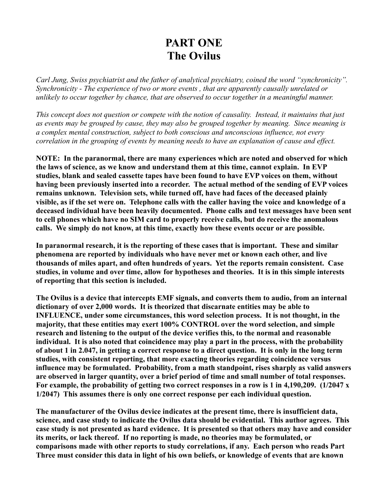### **PART ONE The Ovilus**

*Carl Jung, Swiss psychiatrist and the father of analytical psychiatry, coined the word "synchronicity". Synchronicity - The experience of two or more events , that are apparently causally unrelated or unlikely to occur together by chance, that are observed to occur together in a meaningful manner.*

*This concept does not question or compete with the notion of causality. Instead, it maintains that just as events may be grouped by cause, they may also be grouped together by meaning. Since meaning is a complex mental construction, subject to both conscious and unconscious influence, not every correlation in the grouping of events by meaning needs to have an explanation of cause and effect.*

**NOTE: In the paranormal, there are many experiences which are noted and observed for which the laws of science, as we know and understand them at this time, cannot explain. In EVP studies, blank and sealed cassette tapes have been found to have EVP voices on them, without having been previously inserted into a recorder. The actual method of the sending of EVP voices remains unknown. Television sets, while turned off, have had faces of the deceased plainly visible, as if the set were on. Telephone calls with the caller having the voice and knowledge of a deceased individual have been heavily documented. Phone calls and text messages have been sent to cell phones which have no SIM card to properly receive calls, but do receive the anomalous calls. We simply do not know, at this time, exactly how these events occur or are possible.**

**In paranormal research, it is the reporting of these cases that is important. These and similar phenomena are reported by individuals who have never met or known each other, and live thousands of miles apart, and often hundreds of years. Yet the reports remain consistent. Case studies, in volume and over time, allow for hypotheses and theories. It is in this simple interests of reporting that this section is included.**

**The Ovilus is a device that intercepts EMF signals, and converts them to audio, from an internal dictionary of over 2,000 words. It is theorized that discarnate entities may be able to INFLUENCE, under some circumstances, this word selection process. It is not thought, in the majority, that these entities may exert 100% CONTROL over the word selection, and simple research and listening to the output of the device verifies this, to the normal and reasonable individual. It is also noted that coincidence may play a part in the process, with the probability of about 1 in 2.047, in getting a correct response to a direct question. It is only in the long term studies, with consistent reporting, that more exacting theories regarding coincidence versus influence may be formulated. Probability, from a math standpoint, rises sharply as valid answers are observed in larger quantity, over a brief period of time and small number of total responses. For example, the probability of getting two correct responses in a row is 1 in 4,190,209. (1/2047 x 1/2047) This assumes there is only one correct response per each individual question.**

**The manufacturer of the Ovilus device indicates at the present time, there is insufficient data, science, and case study to indicate the Ovilus data should be evidential. This author agrees. This case study is not presented as hard evidence. It is presented so that others may have and consider its merits, or lack thereof. If no reporting is made, no theories may be formulated, or comparisons made with other reports to study correlations, if any. Each person who reads Part Three must consider this data in light of his own beliefs, or knowledge of events that are known**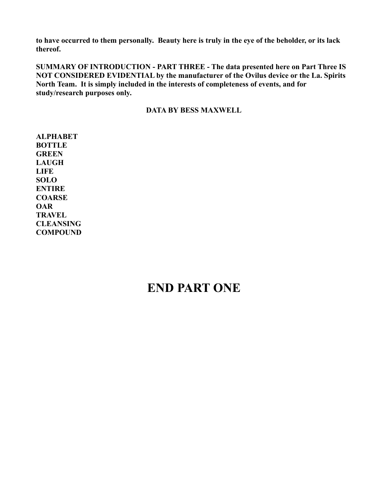**to have occurred to them personally. Beauty here is truly in the eye of the beholder, or its lack thereof.**

**SUMMARY OF INTRODUCTION - PART THREE - The data presented here on Part Three IS NOT CONSIDERED EVIDENTIAL by the manufacturer of the Ovilus device or the La. Spirits North Team. It is simply included in the interests of completeness of events, and for study/research purposes only.**

**DATA BY BESS MAXWELL**

**ALPHABET BOTTLE GREEN LAUGH LIFE SOLO ENTIRE COARSE OAR TRAVEL CLEANSING COMPOUND**

### **END PART ONE**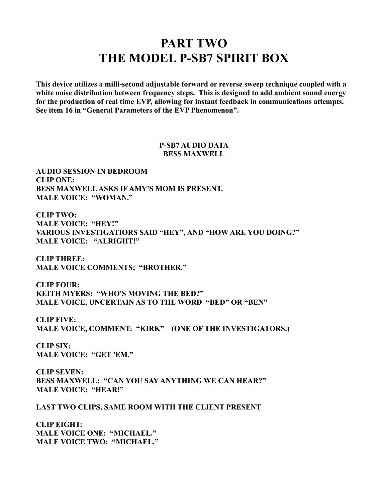### **PART TWO THE MODEL P-SB7 SPIRIT BOX**

**This device utilizes a milli-second adjustable forward or reverse sweep technique coupled with a white noise distribution between frequency steps. This is designed to add ambient sound energy for the production of real time EVP, allowing for instant feedback in communications attempts. See item 16 in "General Parameters of the EVP Phenomenon".** 

> **P-SB7 AUDIO DATA BESS MAXWELL**

**AUDIO SESSION IN BEDROOM CLIP ONE: BESS MAXWELL ASKS IF AMY'S MOM IS PRESENT. MALE VOICE: "WOMAN."**

**CLIP TWO: MALE VOICE: "HEY!" VARIOUS INVESTIGATIORS SAID "HEY", AND "HOW ARE YOU DOING?" MALE VOICE: "ALRIGHT!"**

**CLIP THREE: MALE VOICE COMMENTS; "BROTHER."**

**CLIP FOUR: KEITH MYERS: "WHO'S MOVING THE BED?" MALE VOICE, UNCERTAIN AS TO THE WORD "BED" OR "BEN"**

**CLIP FIVE: MALE VOICE, COMMENT: "KIRK" (ONE OF THE INVESTIGATORS.)**

**CLIP SIX: MALE VOICE; "GET 'EM."**

**CLIP SEVEN: BESS MAXWELL: "CAN YOU SAY ANYTHING WE CAN HEAR?" MALE VOICE: "HEAR!"**

**LAST TWO CLIPS, SAME ROOM WITH THE CLIENT PRESENT**

**CLIP EIGHT: MALE VOICE ONE: "MICHAEL." MALE VOICE TWO: "MICHAEL."**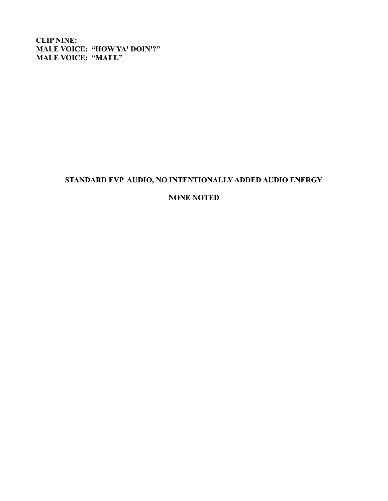**CLIP NINE: MALE VOICE: "HOW YA' DOIN'?" MALE VOICE: "MATT."**

#### **STANDARD EVP AUDIO, NO INTENTIONALLY ADDED AUDIO ENERGY**

#### **NONE NOTED**